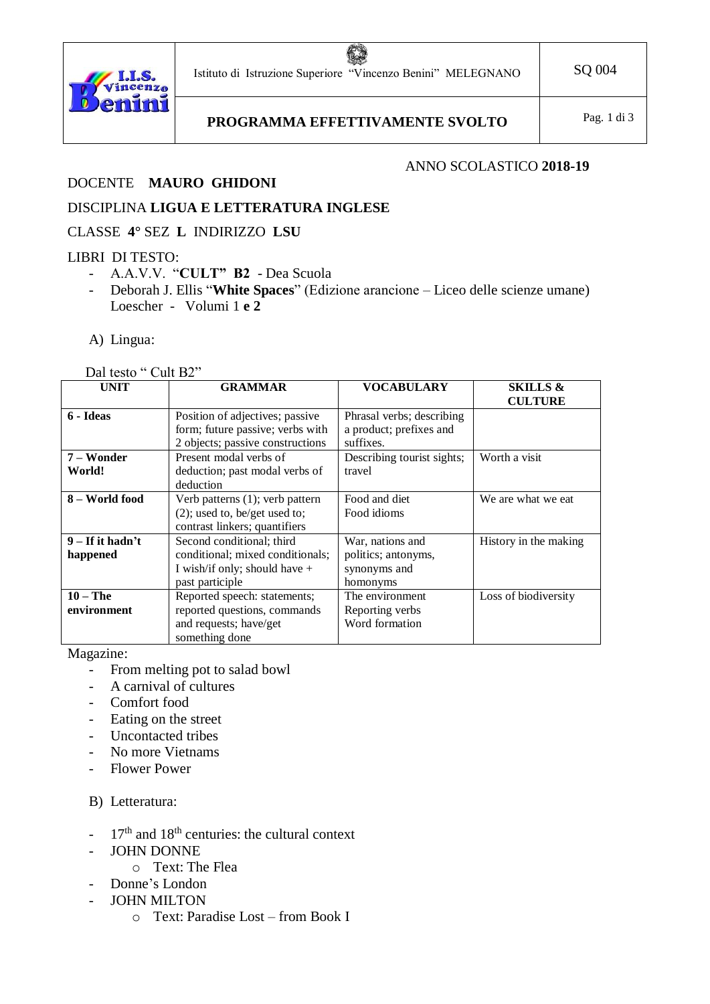63 Istituto di Istruzione Superiore "Vincenzo Benini" MELEGNANO SQ 004



PROGRAMMA EFFETTIVAMENTE SVOLTO Pag. 1 di 3

# DOCENTE **MAURO GHIDONI**

### ANNO SCOLASTICO **2018-19**

## DISCIPLINA **LIGUA E LETTERATURA INGLESE**

#### CLASSE **4°** SEZ **L** INDIRIZZO **LSU**

#### LIBRI DI TESTO:

- A.A.V.V. "**CULT" B2** Dea Scuola
- Deborah J. Ellis "**White Spaces**" (Edizione arancione Liceo delle scienze umane) Loescher - Volumi 1 **e 2**
- A) Lingua:

#### Dal testo " Cult B2"

| <b>UNIT</b>        | <b>GRAMMAR</b>                   | <b>VOCABULARY</b>          | <b>SKILLS &amp;</b>   |
|--------------------|----------------------------------|----------------------------|-----------------------|
|                    |                                  |                            | <b>CULTURE</b>        |
| 6 - Ideas          | Position of adjectives; passive  | Phrasal verbs; describing  |                       |
|                    | form; future passive; verbs with | a product; prefixes and    |                       |
|                    | 2 objects; passive constructions | suffixes.                  |                       |
| 7 – Wonder         | Present modal verbs of           | Describing tourist sights; | Worth a visit         |
| World!             | deduction; past modal verbs of   | travel                     |                       |
|                    | deduction                        |                            |                       |
| 8 – World food     | Verb patterns (1); verb pattern  | Food and diet              | We are what we eat    |
|                    | $(2)$ ; used to, be/get used to; | Food idioms                |                       |
|                    | contrast linkers; quantifiers    |                            |                       |
| $9 - If it hadn't$ | Second conditional; third        | War, nations and           | History in the making |
| happened           | conditional; mixed conditionals; | politics; antonyms,        |                       |
|                    | I wish/if only; should have $+$  | synonyms and               |                       |
|                    | past participle                  | homonyms                   |                       |
| $10 - The$         | Reported speech: statements;     | The environment            | Loss of biodiversity  |
| environment        | reported questions, commands     | Reporting verbs            |                       |
|                    | and requests; have/get           | Word formation             |                       |
|                    | something done                   |                            |                       |

Magazine:

- From melting pot to salad bowl
- A carnival of cultures
- Comfort food
- Eating on the street
- Uncontacted tribes
- No more Vietnams
- Flower Power

B) Letteratura:

- $-17<sup>th</sup>$  and 18<sup>th</sup> centuries: the cultural context
- JOHN DONNE
	- o Text: The Flea
- Donne's London
- JOHN MILTON
	- o Text: Paradise Lost from Book I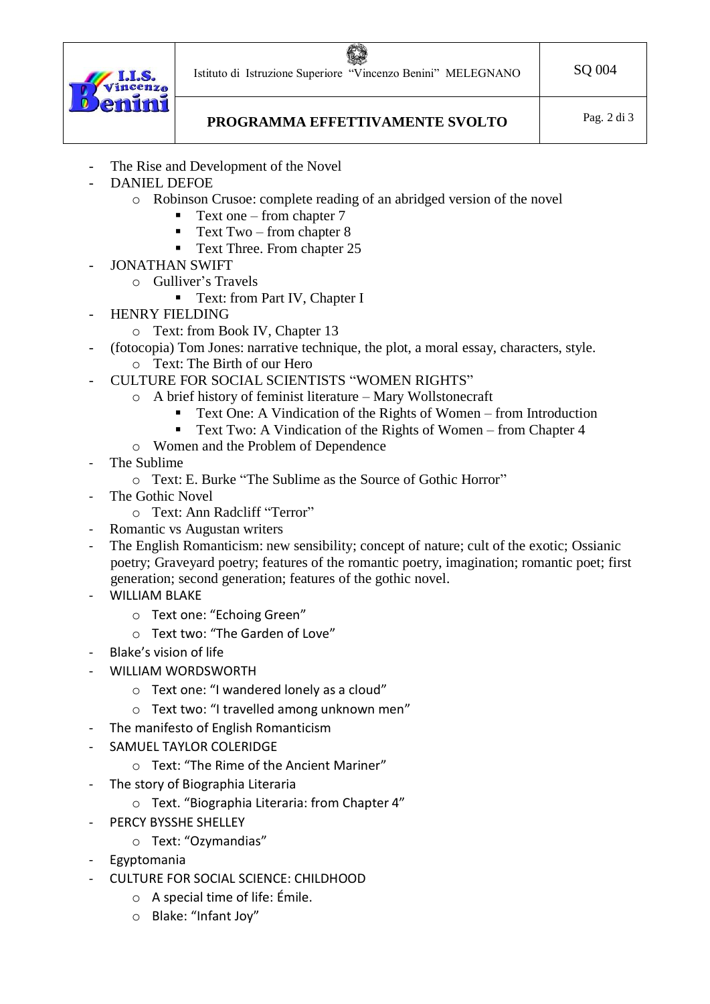Istituto di Istruzione Superiore "Vincenzo Benini" MELEGNANO | SQ 004



PROGRAMMA EFFETTIVAMENTE SVOLTO Pag. 2 di 3

- The Rise and Development of the Novel
- DANIEL DEFOE
	- o Robinson Crusoe: complete reading of an abridged version of the novel
		- **•** Text one from chapter 7
		- Text  $Two$  from chapter  $8$
		- Text Three. From chapter 25
- JONATHAN SWIFT
	- o Gulliver's Travels
		- Text: from Part IV, Chapter I
- HENRY FIELDING
	- o Text: from Book IV, Chapter 13
- (fotocopia) Tom Jones: narrative technique, the plot, a moral essay, characters, style.
	- o Text: The Birth of our Hero
- CULTURE FOR SOCIAL SCIENTISTS "WOMEN RIGHTS"
	- o A brief history of feminist literature Mary Wollstonecraft
		- Text One: A Vindication of the Rights of Women from Introduction
		- Text Two: A Vindication of the Rights of Women from Chapter 4
	- o Women and the Problem of Dependence
- The Sublime
	- o Text: E. Burke "The Sublime as the Source of Gothic Horror"
- The Gothic Novel
	- o Text: Ann Radcliff "Terror"
- Romantic vs Augustan writers
- The English Romanticism: new sensibility; concept of nature; cult of the exotic; Ossianic poetry; Graveyard poetry; features of the romantic poetry, imagination; romantic poet; first generation; second generation; features of the gothic novel.
- WILLIAM BLAKE
	- o Text one: "Echoing Green"
	- o Text two: "The Garden of Love"
- Blake's vision of life
- WILLIAM WORDSWORTH
	- o Text one: "I wandered lonely as a cloud"
	- o Text two: "I travelled among unknown men"
- The manifesto of English Romanticism
- SAMUEL TAYLOR COLERIDGE
	- o Text: "The Rime of the Ancient Mariner"
- The story of Biographia Literaria
	- o Text. "Biographia Literaria: from Chapter 4"
- PERCY BYSSHE SHELLEY
	- o Text: "Ozymandias"
- Egyptomania
- CULTURE FOR SOCIAL SCIENCE: CHILDHOOD
	- o A special time of life: Émile.
	- o Blake: "Infant Joy"